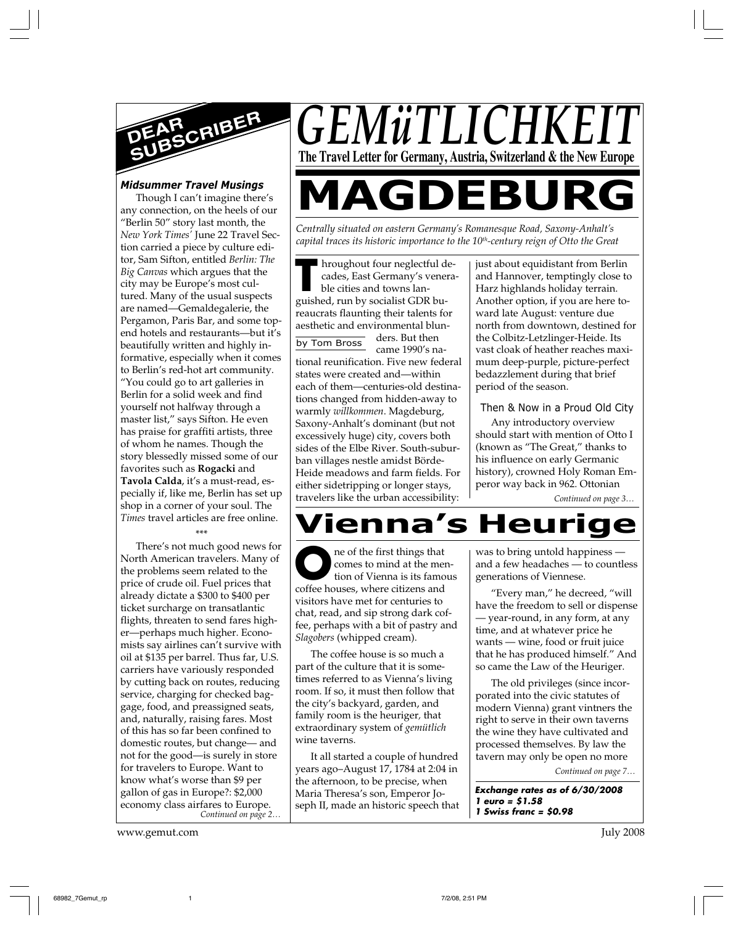

#### *Midsummer Travel Musings*

Though I can't imagine there's any connection, on the heels of our "Berlin 50" story last month, the *New York Times'* June 22 Travel Section carried a piece by culture editor, Sam Sifton, entitled *Berlin: The Big Canvas* which argues that the city may be Europe's most cultured. Many of the usual suspects are named—Gemaldegalerie, the Pergamon, Paris Bar, and some topend hotels and restaurants—but it's beautifully written and highly informative, especially when it comes to Berlin's red-hot art community. "You could go to art galleries in Berlin for a solid week and find yourself not halfway through a master list," says Sifton. He even has praise for graffiti artists, three of whom he names. Though the story blessedly missed some of our favorites such as **Rogacki** and **Tavola Calda**, it's a must-read, especially if, like me, Berlin has set up shop in a corner of your soul. The *Times* travel articles are free online.

#### \*\*\*

*Continued on page 2…* There's not much good news for North American travelers. Many of the problems seem related to the price of crude oil. Fuel prices that already dictate a \$300 to \$400 per ticket surcharge on transatlantic flights, threaten to send fares higher—perhaps much higher. Economists say airlines can't survive with oil at \$135 per barrel. Thus far, U.S. carriers have variously responded by cutting back on routes, reducing service, charging for checked baggage, food, and preassigned seats, and, naturally, raising fares. Most of this has so far been confined to domestic routes, but change— and not for the good—is surely in store for travelers to Europe. Want to know what's worse than \$9 per gallon of gas in Europe?: \$2,000 economy class airfares to Europe.

www.gemut.com July 2008

*GEMüTLICHKI* **The Travel Letter for Germany, Austria, Switzerland & the New Europe**

# **MAGDEBUR**

*Centrally situated on eastern Germany's Romanesque Road, Saxony-Anhalt's* capital traces its historic importance to the 10<sup>th</sup>-century reign of Otto the Great

by Tom Bross **T** hroughout four neglectful decades, East Germany's venerable cities and towns languished, run by socialist GDR bureaucrats flaunting their talents for aesthetic and environmental blunders. But then came 1990's national reunification. Five new federal states were created and—within each of them—centuries-old destinations changed from hidden-away to warmly *willkommen*. Magdeburg, Saxony-Anhalt's dominant (but not excessively huge) city, covers both sides of the Elbe River. South-suburban villages nestle amidst Börde-Heide meadows and farm fields. For either sidetripping or longer stays, travelers like the urban accessibility:

just about equidistant from Berlin and Hannover, temptingly close to Harz highlands holiday terrain. Another option, if you are here toward late August: venture due north from downtown, destined for the Colbitz-Letzlinger-Heide. Its vast cloak of heather reaches maximum deep-purple, picture-perfect bedazzlement during that brief period of the season.

#### Then & Now in a Proud Old City

Any introductory overview should start with mention of Otto I (known as "The Great," thanks to his influence on early Germanic history), crowned Holy Roman Emperor way back in 962. Ottonian

*Continued on page 3…*

## **Vienna's Heurige**

ne of the first things that comes to mind at the mention of Vienna is its famous re of the first things that<br>
comes to mind at the metrics<br>
tion of Vienna is its fame<br>
coffee houses, where citizens and visitors have met for centuries to chat, read, and sip strong dark coffee, perhaps with a bit of pastry and *Slagobers* (whipped cream).

The coffee house is so much a part of the culture that it is sometimes referred to as Vienna's living room. If so, it must then follow that the city's backyard, garden, and family room is the heuriger*,* that extraordinary system of *gemütlich* wine taverns.

It all started a couple of hundred years ago–August 17, 1784 at 2:04 in the afternoon, to be precise, when Maria Theresa's son, Emperor Joseph II, made an historic speech that was to bring untold happiness and a few headaches — to countless generations of Viennese.

"Every man," he decreed, "will have the freedom to sell or dispense — year-round, in any form, at any time, and at whatever price he wants — wine, food or fruit juice that he has produced himself." And so came the Law of the Heuriger.

*Continued on page 7…* The old privileges (since incorporated into the civic statutes of modern Vienna) grant vintners the right to serve in their own taverns the wine they have cultivated and processed themselves. By law the tavern may only be open no more

**Exchange rates as of 6/30/2008 1 euro = \$1.58 1 Swiss franc = \$0.98**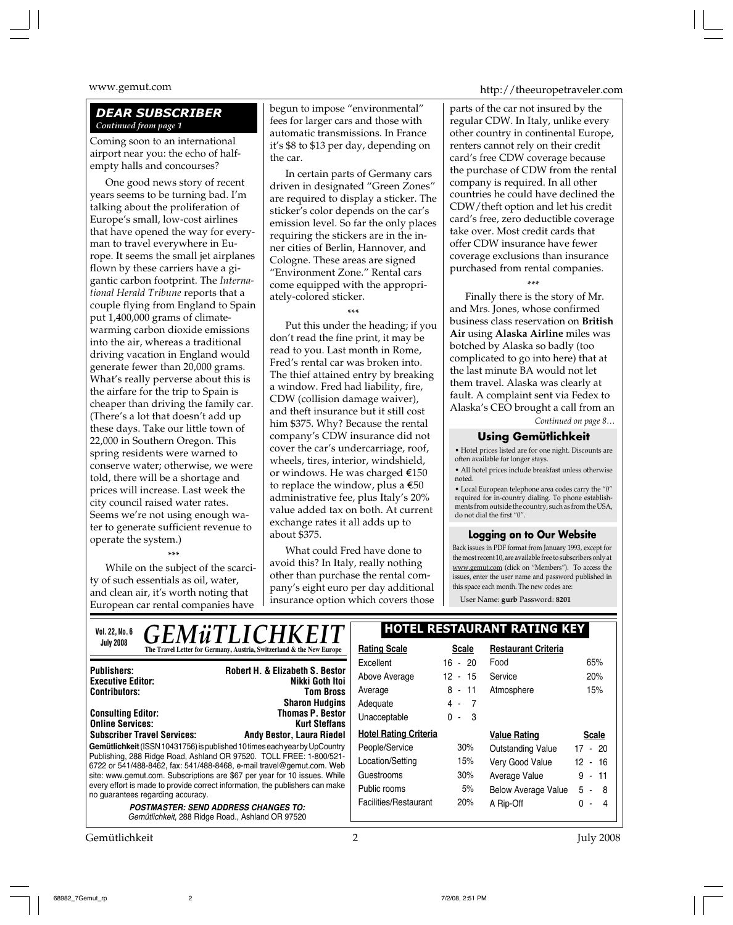#### *DEAR SUBSCRIBER Continued from page 1*

Coming soon to an international airport near you: the echo of halfempty halls and concourses?

One good news story of recent years seems to be turning bad. I'm talking about the proliferation of Europe's small, low-cost airlines that have opened the way for everyman to travel everywhere in Europe. It seems the small jet airplanes flown by these carriers have a gigantic carbon footprint. The *International Herald Tribune* reports that a couple flying from England to Spain put 1,400,000 grams of climatewarming carbon dioxide emissions into the air, whereas a traditional driving vacation in England would generate fewer than 20,000 grams. What's really perverse about this is the airfare for the trip to Spain is cheaper than driving the family car. (There's a lot that doesn't add up these days. Take our little town of 22,000 in Southern Oregon. This spring residents were warned to conserve water; otherwise, we were told, there will be a shortage and prices will increase. Last week the city council raised water rates. Seems we're not using enough water to generate sufficient revenue to operate the system.)

\*\*\* While on the subject of the scarcity of such essentials as oil, water, and clean air, it's worth noting that European car rental companies have

begun to impose "environmental" fees for larger cars and those with automatic transmissions. In France it's \$8 to \$13 per day, depending on the car.

In certain parts of Germany cars driven in designated "Green Zones" are required to display a sticker. The sticker's color depends on the car's emission level. So far the only places requiring the stickers are in the inner cities of Berlin, Hannover, and Cologne. These areas are signed "Environment Zone." Rental cars come equipped with the appropriately-colored sticker.

\*\*\*

Put this under the heading; if you don't read the fine print, it may be read to you. Last month in Rome, Fred's rental car was broken into. The thief attained entry by breaking a window. Fred had liability, fire, CDW (collision damage waiver), and theft insurance but it still cost him \$375. Why? Because the rental company's CDW insurance did not cover the car's undercarriage, roof, wheels, tires, interior, windshield, or windows. He was charged  $$150$ to replace the window, plus a  $\epsilon$ 50 administrative fee, plus Italy's 20% value added tax on both. At current exchange rates it all adds up to about \$375.

What could Fred have done to avoid this? In Italy, really nothing other than purchase the rental company's eight euro per day additional insurance option which covers those

www.gemut.com http://theeuropetraveler.com

parts of the car not insured by the regular CDW. In Italy, unlike every other country in continental Europe, renters cannot rely on their credit card's free CDW coverage because the purchase of CDW from the rental company is required. In all other countries he could have declined the CDW/theft option and let his credit card's free, zero deductible coverage take over. Most credit cards that offer CDW insurance have fewer coverage exclusions than insurance purchased from rental companies.

\*\*\*

Finally there is the story of Mr. and Mrs. Jones, whose confirmed business class reservation on **British Air** using **Alaska Airline** miles was botched by Alaska so badly (too complicated to go into here) that at the last minute BA would not let them travel. Alaska was clearly at fault. A complaint sent via Fedex to Alaska's CEO brought a call from an

*Continued on page 8…*

#### **Using Gemütlichkeit**

• Hotel prices listed are for one night. Discounts are often available for longer stays.

• All hotel prices include breakfast unless otherwise noted.

• Local European telephone area codes carry the "0" required for in-country dialing. To phone establishments from outside the country, such as from the USA, do not dial the first "0".

#### **Logging on to Our Website**

Back issues in PDF format from January 1993, except for the most recent 10, are available free to subscribers only at www.gemut.com (click on "Members"). To access the issues, enter the user name and password published in this space each month. The new codes are:

User Name: **gurb** Password: **8201**

| <b>GEMÜTLICHKEIT</b><br>Vol. 22, No. 6                                                                                                       | <b>HOTEL RESTAURANT RATING KEY</b> |              |                            |                           |
|----------------------------------------------------------------------------------------------------------------------------------------------|------------------------------------|--------------|----------------------------|---------------------------|
| <b>July 2008</b><br>The Travel Letter for Germany, Austria, Switzerland & the New Europe                                                     | <b>Rating Scale</b>                | <b>Scale</b> | <b>Restaurant Criteria</b> |                           |
| <b>Robert H. &amp; Elizabeth S. Bestor</b><br><b>Publishers:</b>                                                                             | Excellent                          | $16 - 20$    | Food                       | 65%                       |
| Nikki Goth Itoi<br><b>Executive Editor:</b>                                                                                                  | Above Average                      | 12 - 15      | Service                    | 20%                       |
| <b>Contributors:</b><br>Tom Bross                                                                                                            | Average                            | $8 - 11$     | Atmosphere                 | 15%                       |
| <b>Sharon Hudgins</b>                                                                                                                        | Adequate                           | $4 - 7$      |                            |                           |
| <b>Thomas P. Bestor</b><br><b>Consulting Editor:</b><br><b>Online Services:</b><br><b>Kurt Steffans</b>                                      | Unacceptable                       | $0 - 3$      |                            |                           |
| <b>Subscriber Travel Services:</b><br>Andy Bestor, Laura Riedel                                                                              | <b>Hotel Rating Criteria</b>       |              | <b>Value Rating</b>        | <b>Scale</b>              |
| Gemütlichkeit (ISSN 10431756) is published 10 times each year by UpCountry                                                                   | People/Service                     | 30%          | <b>Outstanding Value</b>   | 17 - 20                   |
| Publishing, 288 Ridge Road, Ashland OR 97520. TOLL FREE: 1-800/521-<br>6722 or 541/488-8462, fax: 541/488-8468, e-mail travel@gemut.com. Web | Location/Setting                   | 15%          | Very Good Value            | 12.<br>$-16$              |
| site: www.gemut.com. Subscriptions are \$67 per year for 10 issues. While                                                                    | Guestrooms                         | 30%          | Average Value              | 9<br>11<br>$\blacksquare$ |
| every effort is made to provide correct information, the publishers can make<br>no quarantees regarding accuracy.                            | Public rooms                       | 5%           | <b>Below Average Value</b> | 5<br>-8<br>$\sim$         |
| <b>POSTMASTER: SEND ADDRESS CHANGES TO:</b>                                                                                                  | Facilities/Restaurant              | 20%          | A Rip-Off                  | 0<br>4<br>$\blacksquare$  |
| Gemütlichkeit, 288 Ridge Road., Ashland OR 97520                                                                                             |                                    |              |                            |                           |

Gemütlichkeit 2 July 2008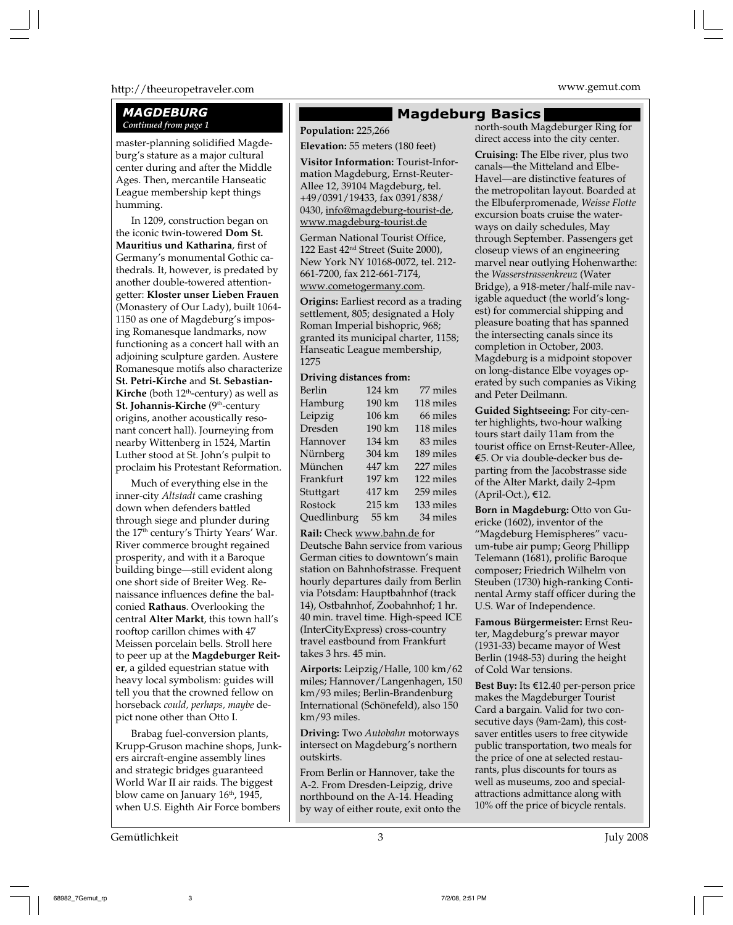#### http://theeuropetraveler.com www.gemut.com

#### *MAGDEBURG Continued from page 1*

master-planning solidified Magdeburg's stature as a major cultural center during and after the Middle Ages. Then, mercantile Hanseatic League membership kept things humming.

In 1209, construction began on the iconic twin-towered **Dom St. Mauritius und Katharina**, first of Germany's monumental Gothic cathedrals. It, however, is predated by another double-towered attentiongetter: **Kloster unser Lieben Frauen** (Monastery of Our Lady), built 1064- 1150 as one of Magdeburg's imposing Romanesque landmarks, now functioning as a concert hall with an adjoining sculpture garden. Austere Romanesque motifs also characterize **St. Petri-Kirche** and **St. Sebastian-Kirche** (both  $12<sup>th</sup>$ -century) as well as **St. Johannis-Kirche** (9<sup>th</sup>-century origins, another acoustically resonant concert hall). Journeying from nearby Wittenberg in 1524, Martin Luther stood at St. John's pulpit to proclaim his Protestant Reformation.

Much of everything else in the inner-city *Altstadt* came crashing down when defenders battled through siege and plunder during the 17<sup>th</sup> century's Thirty Years' War. River commerce brought regained prosperity, and with it a Baroque building binge—still evident along one short side of Breiter Weg. Renaissance influences define the balconied **Rathaus**. Overlooking the central **Alter Markt**, this town hall's rooftop carillon chimes with 47 Meissen porcelain bells. Stroll here to peer up at the **Magdeburger Reiter**, a gilded equestrian statue with heavy local symbolism: guides will tell you that the crowned fellow on horseback *could, perhaps, maybe* depict none other than Otto I.

Brabag fuel-conversion plants, Krupp-Gruson machine shops, Junkers aircraft-engine assembly lines and strategic bridges guaranteed World War II air raids. The biggest blow came on January 16<sup>th</sup>, 1945, when U.S. Eighth Air Force bombers

#### **Magdeburg Basics**

**Population:** 225,266

**Elevation:** 55 meters (180 feet) **Visitor Information:** Tourist-Information Magdeburg, Ernst-Reuter-Allee 12, 39104 Magdeburg, tel. +49/0391/19433, fax 0391/838/ 0430, info@magdeburg-tourist-de, www.magdeburg-tourist.de

German National Tourist Office, 122 East 42nd Street (Suite 2000), New York NY 10168-0072, tel. 212- 661-7200, fax 212-661-7174, www.cometogermany.com.

**Origins:** Earliest record as a trading settlement, 805; designated a Holy Roman Imperial bishopric, 968; granted its municipal charter, 1158; Hanseatic League membership, 1275

#### **Driving distances from:**

| Berlin      | 124 km | 77 miles  |
|-------------|--------|-----------|
| Hamburg     | 190 km | 118 miles |
| Leipzig     | 106 km | 66 miles  |
| Dresden     | 190 km | 118 miles |
| Hannover    | 134 km | 83 miles  |
| Nürnberg    | 304 km | 189 miles |
| München     | 447 km | 227 miles |
| Frankfurt   | 197 km | 122 miles |
| Stuttgart   | 417 km | 259 miles |
| Rostock     | 215 km | 133 miles |
| Quedlinburg | 55 km  | 34 miles  |

**Rail:** Check www.bahn.de for

Deutsche Bahn service from various German cities to downtown's main station on Bahnhofstrasse. Frequent hourly departures daily from Berlin via Potsdam: Hauptbahnhof (track 14), Ostbahnhof, Zoobahnhof; 1 hr. 40 min. travel time. High-speed ICE (InterCityExpress) cross-country travel eastbound from Frankfurt takes 3 hrs. 45 min.

**Airports:** Leipzig/Halle, 100 km/62 miles; Hannover/Langenhagen, 150 km/93 miles; Berlin-Brandenburg International (Schönefeld), also 150 km/93 miles.

**Driving:** Two *Autobahn* motorways intersect on Magdeburg's northern outskirts.

From Berlin or Hannover, take the A-2. From Dresden-Leipzig, drive northbound on the A-14. Heading by way of either route, exit onto the north-south Magdeburger Ring for direct access into the city center.

**Cruising:** The Elbe river, plus two canals—the Mitteland and Elbe-Havel—are distinctive features of the metropolitan layout. Boarded at the Elbuferpromenade, *Weisse Flotte* excursion boats cruise the waterways on daily schedules, May through September. Passengers get closeup views of an engineering marvel near outlying Hohenwarthe: the *Wasserstrassenkreuz* (Water Bridge), a 918-meter/half-mile navigable aqueduct (the world's longest) for commercial shipping and pleasure boating that has spanned the intersecting canals since its completion in October, 2003. Magdeburg is a midpoint stopover on long-distance Elbe voyages operated by such companies as Viking and Peter Deilmann.

**Guided Sightseeing:** For city-center highlights, two-hour walking tours start daily 11am from the tourist office on Ernst-Reuter-Allee, ¤5. Or via double-decker bus departing from the Jacobstrasse side of the Alter Markt, daily 2-4pm  $(April-Oct.)$ ,  $E12$ .

**Born in Magdeburg:** Otto von Guericke (1602), inventor of the "Magdeburg Hemispheres" vacuum-tube air pump; Georg Phillipp Telemann (1681), prolific Baroque composer; Friedrich Wilhelm von Steuben (1730) high-ranking Continental Army staff officer during the U.S. War of Independence.

**Famous Bürgermeister:** Ernst Reuter, Magdeburg's prewar mayor (1931-33) became mayor of West Berlin (1948-53) during the height of Cold War tensions.

**Best Buy:** Its €12.40 per-person price makes the Magdeburger Tourist Card a bargain. Valid for two consecutive days (9am-2am), this costsaver entitles users to free citywide public transportation, two meals for the price of one at selected restaurants, plus discounts for tours as well as museums, zoo and specialattractions admittance along with 10% off the price of bicycle rentals.

Gemütlichkeit 3 July 2008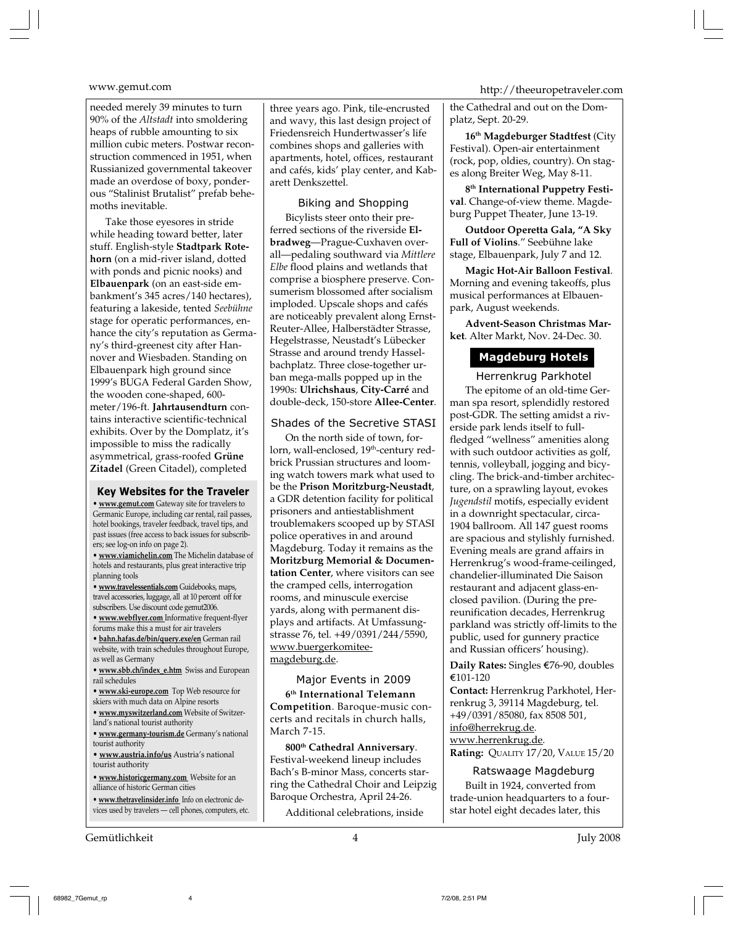needed merely 39 minutes to turn 90% of the *Altstadt* into smoldering heaps of rubble amounting to six million cubic meters. Postwar reconstruction commenced in 1951, when Russianized governmental takeover made an overdose of boxy, ponderous "Stalinist Brutalist" prefab behemoths inevitable.

Take those eyesores in stride while heading toward better, later stuff. English-style **Stadtpark Rotehorn** (on a mid-river island, dotted with ponds and picnic nooks) and **Elbauenpark** (on an east-side embankment's 345 acres/140 hectares), featuring a lakeside, tented *Seebühne* stage for operatic performances, enhance the city's reputation as Germany's third-greenest city after Hannover and Wiesbaden. Standing on Elbauenpark high ground since 1999's BUGA Federal Garden Show, the wooden cone-shaped, 600 meter/196-ft. **Jahrtausendturn** contains interactive scientific-technical exhibits. Over by the Domplatz, it's impossible to miss the radically asymmetrical, grass-roofed **Grüne Zitadel** (Green Citadel), completed

#### **Key Websites for the Traveler**

**• www.gemut.com** Gateway site for travelers to Germanic Europe, including car rental, rail passes, hotel bookings, traveler feedback, travel tips, and past issues (free access to back issues for subscribers; see log-on info on page 2).

**• www.viamichelin.com** The Michelin database of hotels and restaurants, plus great interactive trip planning tools

**• www.travelessentials.com** Guidebooks, maps, travel accessories, luggage, all at 10 percent off for subscribers. Use discount code gemut2006.

**• www.webflyer.com** Informative frequent-flyer forums make this a must for air travelers

**• bahn.hafas.de/bin/query.exe/en** German rail website, with train schedules throughout Europe, as well as Germany

**• www.sbb.ch/index\_e.htm** Swiss and European rail schedules

- **www.ski-europe.com** Top Web resource for
- skiers with much data on Alpine resorts
- **www.myswitzerland.com** Website of Switzerland's national tourist authority

**• www.germany-tourism.de** Germany's national tourist authority

**• www.austria.info/us** Austria's national tourist authority

**• www.historicgermany.com** Website for an alliance of historic German cities

**• www.thetravelinsider.info** Info on electronic devices used by travelers — cell phones, computers, etc.

Gemütlichkeit 4 July 2008

three years ago. Pink, tile-encrusted and wavy, this last design project of Friedensreich Hundertwasser's life combines shops and galleries with apartments, hotel, offices, restaurant and cafés, kids' play center, and Kabarett Denkszettel.

Biking and Shopping Bicylists steer onto their preferred sections of the riverside **Elbradweg**—Prague-Cuxhaven overall—pedaling southward via *Mittlere Elbe* flood plains and wetlands that comprise a biosphere preserve. Consumerism blossomed after socialism imploded. Upscale shops and cafés are noticeably prevalent along Ernst-Reuter-Allee, Halberstädter Strasse, Hegelstrasse, Neustadt's Lübecker Strasse and around trendy Hasselbachplatz. Three close-together urban mega-malls popped up in the 1990s: **Ulrichshaus**, **City-Carré** and double-deck, 150-store **Allee-Center**.

#### Shades of the Secretive STASI

On the north side of town, forlorn, wall-enclosed, 19<sup>th</sup>-century redbrick Prussian structures and looming watch towers mark what used to be the **Prison Moritzburg-Neustadt**, a GDR detention facility for political prisoners and antiestablishment troublemakers scooped up by STASI police operatives in and around Magdeburg. Today it remains as the **Moritzburg Memorial & Documentation Center**, where visitors can see the cramped cells, interrogation rooms, and minuscule exercise yards, along with permanent displays and artifacts. At Umfassungstrasse 76, tel. +49/0391/244/5590, www.buergerkomiteemagdeburg.de.

Major Events in 2009 **6th International Telemann Competition**. Baroque-music concerts and recitals in church halls, March 7-15.

**800th Cathedral Anniversary**. Festival-weekend lineup includes Bach's B-minor Mass, concerts starring the Cathedral Choir and Leipzig Baroque Orchestra, April 24-26.

Additional celebrations, inside

### www.gemut.com http://theeuropetraveler.com

the Cathedral and out on the Domplatz, Sept. 20-29.

**16th Magdeburger Stadtfest** (City Festival). Open-air entertainment (rock, pop, oldies, country). On stages along Breiter Weg, May 8-11.

**8th International Puppetry Festival**. Change-of-view theme. Magdeburg Puppet Theater, June 13-19.

**Outdoor Operetta Gala, "A Sky Full of Violins**." Seebühne lake stage, Elbauenpark, July 7 and 12.

**Magic Hot-Air Balloon Festival**. Morning and evening takeoffs, plus musical performances at Elbauenpark, August weekends.

**Advent-Season Christmas Market**. Alter Markt, Nov. 24-Dec. 30.

#### **Magdeburg Hotels**

#### Herrenkrug Parkhotel

The epitome of an old-time German spa resort, splendidly restored post-GDR. The setting amidst a riverside park lends itself to fullfledged "wellness" amenities along with such outdoor activities as golf, tennis, volleyball, jogging and bicycling. The brick-and-timber architecture, on a sprawling layout, evokes *Jugendstil* motifs, especially evident in a downright spectacular, circa-1904 ballroom. All 147 guest rooms are spacious and stylishly furnished. Evening meals are grand affairs in Herrenkrug's wood-frame-ceilinged, chandelier-illuminated Die Saison restaurant and adjacent glass-enclosed pavilion. (During the prereunification decades, Herrenkrug parkland was strictly off-limits to the public, used for gunnery practice and Russian officers' housing).

Daily Rates: Singles €76-90, doubles ¤101-120

**Contact:** Herrenkrug Parkhotel, Herrenkrug 3, 39114 Magdeburg, tel. +49/0391/85080, fax 8508 501, info@herrekrug.de.

www.herrenkrug.de. **Rating:** QUALITY 17/20, VALUE 15/20

Ratswaage Magdeburg Built in 1924, converted from trade-union headquarters to a fourstar hotel eight decades later, this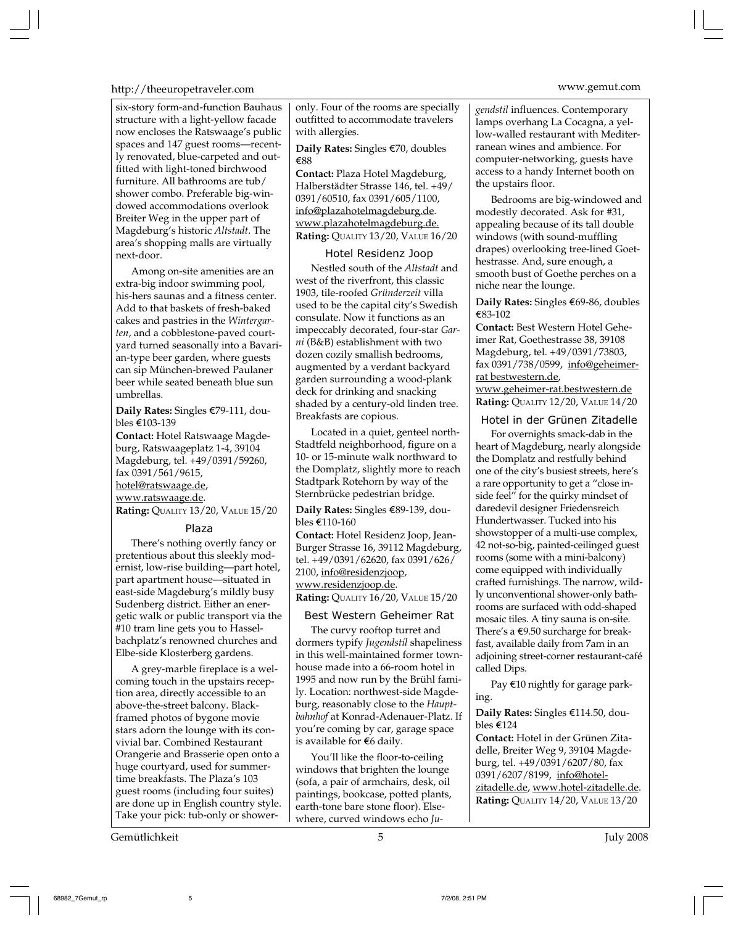#### http://theeuropetraveler.com www.gemut.com

six-story form-and-function Bauhaus structure with a light-yellow facade now encloses the Ratswaage's public spaces and 147 guest rooms—recently renovated, blue-carpeted and outfitted with light-toned birchwood furniture. All bathrooms are tub/ shower combo. Preferable big-windowed accommodations overlook Breiter Weg in the upper part of Magdeburg's historic *Altstadt*. The area's shopping malls are virtually next-door.

Among on-site amenities are an extra-big indoor swimming pool, his-hers saunas and a fitness center. Add to that baskets of fresh-baked cakes and pastries in the *Wintergarten*, and a cobblestone-paved courtyard turned seasonally into a Bavarian-type beer garden, where guests can sip München-brewed Paulaner beer while seated beneath blue sun umbrellas.

**Daily Rates:** Singles €79-111, doubles €103-139

**Contact:** Hotel Ratswaage Magdeburg, Ratswaageplatz 1-4, 39104 Magdeburg, tel. +49/0391/59260, fax 0391/561/9615, hotel@ratswaage.de,

www.ratswaage.de.

**Rating:** QUALITY 13/20, VALUE 15/20

#### Plaza

There's nothing overtly fancy or pretentious about this sleekly modernist, low-rise building—part hotel, part apartment house—situated in east-side Magdeburg's mildly busy Sudenberg district. Either an energetic walk or public transport via the #10 tram line gets you to Hasselbachplatz's renowned churches and Elbe-side Klosterberg gardens.

A grey-marble fireplace is a welcoming touch in the upstairs reception area, directly accessible to an above-the-street balcony. Blackframed photos of bygone movie stars adorn the lounge with its convivial bar. Combined Restaurant Orangerie and Brasserie open onto a huge courtyard, used for summertime breakfasts. The Plaza's 103 guest rooms (including four suites) are done up in English country style. Take your pick: tub-only or shower-

Gemütlichkeit 5 July 2008

only. Four of the rooms are specially outfitted to accommodate travelers with allergies.

**Daily Rates:** Singles €70, doubles ¤88

**Contact:** Plaza Hotel Magdeburg, Halberstädter Strasse 146, tel. +49/ 0391/60510, fax 0391/605/1100, info@plazahotelmagdeburg.de. www.plazahotelmagdeburg.de. **Rating:** QUALITY 13/20, VALUE 16/20

#### Hotel Residenz Joop

Nestled south of the *Altstadt* and west of the riverfront, this classic 1903, tile-roofed *Gründerzeit* villa used to be the capital city's Swedish consulate. Now it functions as an impeccably decorated, four-star *Garni* (B&B) establishment with two dozen cozily smallish bedrooms, augmented by a verdant backyard garden surrounding a wood-plank deck for drinking and snacking shaded by a century-old linden tree. Breakfasts are copious.

Located in a quiet, genteel north-Stadtfeld neighborhood, figure on a 10- or 15-minute walk northward to the Domplatz, slightly more to reach Stadtpark Rotehorn by way of the Sternbrücke pedestrian bridge.

#### Daily Rates: Singles €89-139, doubles €110-160

**Contact:** Hotel Residenz Joop, Jean-Burger Strasse 16, 39112 Magdeburg, tel. +49/0391/62620, fax 0391/626/ 2100, info@residenzjoop, www.residenzjoop.de. **Rating:** QUALITY 16/20, VALUE 15/20

#### Best Western Geheimer Rat

The curvy rooftop turret and dormers typify *Jugendstil* shapeliness in this well-maintained former townhouse made into a 66-room hotel in 1995 and now run by the Brühl family. Location: northwest-side Magdeburg, reasonably close to the *Hauptbahnhof* at Konrad-Adenauer-Platz. If you're coming by car, garage space is available for  $€6$  daily.

You'll like the floor-to-ceiling windows that brighten the lounge (sofa, a pair of armchairs, desk, oil paintings, bookcase, potted plants, earth-tone bare stone floor). Elsewhere, curved windows echo *Ju-*

*gendstil* influences. Contemporary lamps overhang La Cocagna, a yellow-walled restaurant with Mediterranean wines and ambience. For computer-networking, guests have access to a handy Internet booth on the upstairs floor.

Bedrooms are big-windowed and modestly decorated. Ask for #31, appealing because of its tall double windows (with sound-muffling drapes) overlooking tree-lined Goethestrasse. And, sure enough, a smooth bust of Goethe perches on a niche near the lounge.

**Daily Rates:** Singles €69-86, doubles €83-102

**Contact:** Best Western Hotel Geheimer Rat, Goethestrasse 38, 39108 Magdeburg, tel. +49/0391/73803, fax 0391/738/0599, info@geheimerrat bestwestern.de,

www.geheimer-rat.bestwestern.de **Rating:** QUALITY 12/20, VALUE 14/20

Hotel in der Grünen Zitadelle

For overnights smack-dab in the heart of Magdeburg, nearly alongside the Domplatz and restfully behind one of the city's busiest streets, here's a rare opportunity to get a "close inside feel" for the quirky mindset of daredevil designer Friedensreich Hundertwasser. Tucked into his showstopper of a multi-use complex, 42 not-so-big, painted-ceilinged guest rooms (some with a mini-balcony) come equipped with individually crafted furnishings. The narrow, wildly unconventional shower-only bathrooms are surfaced with odd-shaped mosaic tiles. A tiny sauna is on-site. There's a  $\epsilon$ 9.50 surcharge for breakfast, available daily from 7am in an adjoining street-corner restaurant-café called Dips.

Pay €10 nightly for garage parking.

**Daily Rates:** Singles €114.50, doubles  $€124$ 

**Contact:** Hotel in der Grünen Zitadelle, Breiter Weg 9, 39104 Magdeburg, tel. +49/0391/6207/80, fax 0391/6207/8199, info@hotel-<u>zitadelle.de, www.hotel-zitadelle.de</u>. **Rating:** QUALITY 14/20, VALUE 13/20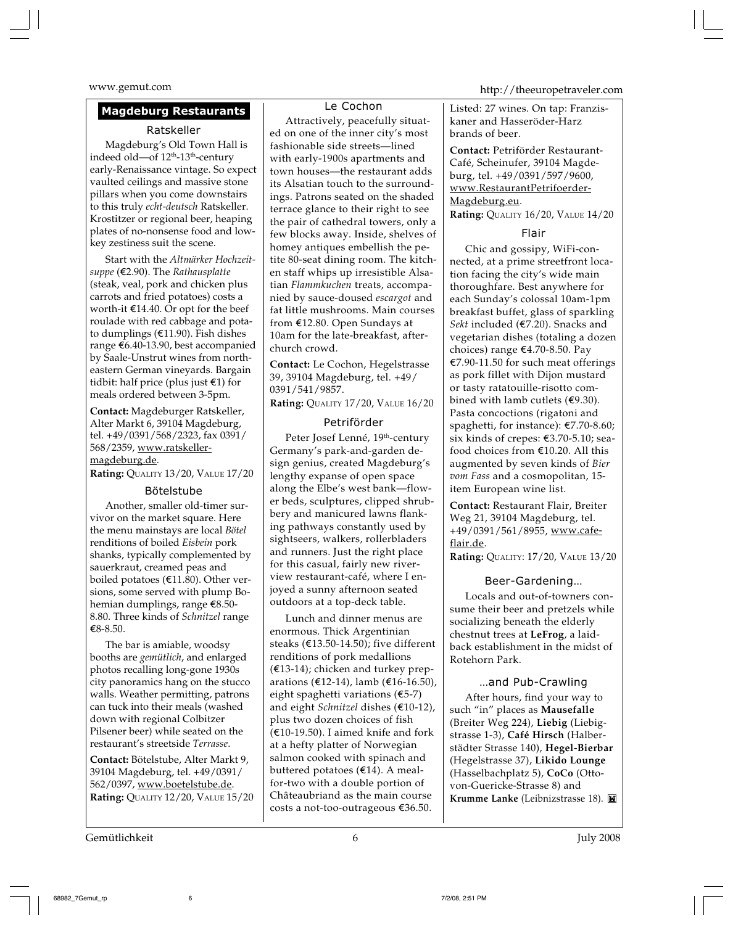#### **Magdeburg Restaurants**

#### Ratskeller

Magdeburg's Old Town Hall is indeed old—of 12<sup>th</sup>-13<sup>th</sup>-century early-Renaissance vintage. So expect vaulted ceilings and massive stone pillars when you come downstairs to this truly *echt-deutsch* Ratskeller. Krostitzer or regional beer, heaping plates of no-nonsense food and lowkey zestiness suit the scene.

Start with the *Altmärker Hochzeit* $suppe$  (€2.90). The *Rathausplatte* (steak, veal, pork and chicken plus carrots and fried potatoes) costs a worth-it  $€14.40$ . Or opt for the beef roulade with red cabbage and potato dumplings ( $E$ 11.90). Fish dishes range €6.40-13.90, best accompanied by Saale-Unstrut wines from northeastern German vineyards. Bargain tidbit: half price (plus just  $\epsilon$ 1) for meals ordered between 3-5pm.

**Contact:** Magdeburger Ratskeller, Alter Markt 6, 39104 Magdeburg, tel. +49/0391/568/2323, fax 0391/ 568/2359, www.ratskellermagdeburg.de.

**Rating:** QUALITY 13/20, VALUE 17/20

#### Bötelstube

Another, smaller old-timer survivor on the market square. Here the menu mainstays are local *Bötel* renditions of boiled *Eisbein* pork shanks, typically complemented by sauerkraut, creamed peas and boiled potatoes ( $E11.80$ ). Other versions, some served with plump Bohemian dumplings, range  $€8.50-$ 8.80. Three kinds of *Schnitzel* range ¤8-8.50.

The bar is amiable, woodsy booths are *gemütlich*, and enlarged photos recalling long-gone 1930s city panoramics hang on the stucco walls. Weather permitting, patrons can tuck into their meals (washed down with regional Colbitzer Pilsener beer) while seated on the restaurant's streetside *Terrasse*.

**Contact:** Bötelstube, Alter Markt 9, 39104 Magdeburg, tel. +49/0391/ 562/0397, www.boetelstube.de. **Rating:** QUALITY 12/20, VALUE 15/20

#### Le Cochon

Attractively, peacefully situated on one of the inner city's most fashionable side streets—lined with early-1900s apartments and town houses—the restaurant adds its Alsatian touch to the surroundings. Patrons seated on the shaded terrace glance to their right to see the pair of cathedral towers, only a few blocks away. Inside, shelves of homey antiques embellish the petite 80-seat dining room. The kitchen staff whips up irresistible Alsatian *Flammkuchen* treats, accompanied by sauce-doused *escargot* and fat little mushrooms. Main courses from  $E12.80$ . Open Sundays at 10am for the late-breakfast, afterchurch crowd.

**Contact:** Le Cochon, Hegelstrasse 39, 39104 Magdeburg, tel. +49/ 0391/541/9857.

**Rating:** QUALITY 17/20, VALUE 16/20

#### Petriförder

Peter Josef Lenné, 19<sup>th</sup>-century Germany's park-and-garden design genius, created Magdeburg's lengthy expanse of open space along the Elbe's west bank—flower beds, sculptures, clipped shrubbery and manicured lawns flanking pathways constantly used by sightseers, walkers, rollerbladers and runners. Just the right place for this casual, fairly new riverview restaurant-café, where I enjoyed a sunny afternoon seated outdoors at a top-deck table.

Lunch and dinner menus are enormous. Thick Argentinian steaks ( $E$ 13.50-14.50); five different renditions of pork medallions  $(€13-14)$ ; chicken and turkey preparations (€12-14), lamb (€16-16.50), eight spaghetti variations  $(65-7)$ and eight *Schnitzel* dishes (€10-12), plus two dozen choices of fish  $(E10-19.50)$ . I aimed knife and fork at a hefty platter of Norwegian salmon cooked with spinach and buttered potatoes  $(\epsilon 14)$ . A mealfor-two with a double portion of Châteaubriand as the main course costs a not-too-outrageous €36.50.

www.gemut.com http://theeuropetraveler.com

Listed: 27 wines. On tap: Franziskaner and Hasseröder-Harz brands of beer.

**Contact:** Petriförder Restaurant-Café, Scheinufer, 39104 Magdeburg, tel. +49/0391/597/9600, www.RestaurantPetrifoerder-Magdeburg.eu.

**Rating:** QUALITY 16/20, VALUE 14/20

#### Flair

Chic and gossipy, WiFi-connected, at a prime streetfront location facing the city's wide main thoroughfare. Best anywhere for each Sunday's colossal 10am-1pm breakfast buffet, glass of sparkling *Sekt* included (€7.20). Snacks and vegetarian dishes (totaling a dozen choices) range  $\text{£}4.70\text{-}8.50$ . Pay  $E$ 7.90-11.50 for such meat offerings as pork fillet with Dijon mustard or tasty ratatouille-risotto combined with lamb cutlets ( $€9.30$ ). Pasta concoctions (rigatoni and spaghetti, for instance):  $E7.70-8.60$ ; six kinds of crepes:  $$3.70-5.10$ ; seafood choices from  $€10.20$ . All this augmented by seven kinds of *Bier vom Fass* and a cosmopolitan, 15 item European wine list.

**Contact:** Restaurant Flair, Breiter Weg 21, 39104 Magdeburg, tel. +49/0391/561/8955, www.cafeflair.de.

**Rating:** QUALITY: 17/20, VALUE 13/20

#### Beer-Gardening…

Locals and out-of-towners consume their beer and pretzels while socializing beneath the elderly chestnut trees at **LeFrog**, a laidback establishment in the midst of Rotehorn Park.

#### …and Pub-Crawling

After hours, find your way to such "in" places as **Mausefalle** (Breiter Weg 224), **Liebig** (Liebigstrasse 1-3), **Café Hirsch** (Halberstädter Strasse 140), **Hegel-Bierbar** (Hegelstrasse 37), **Likido Lounge** (Hasselbachplatz 5), **CoCo** (Ottovon-Guericke-Strasse 8) and **Krumme Lanke** (Leibnizstrasse 18).

Gemütlichkeit 6 July 2008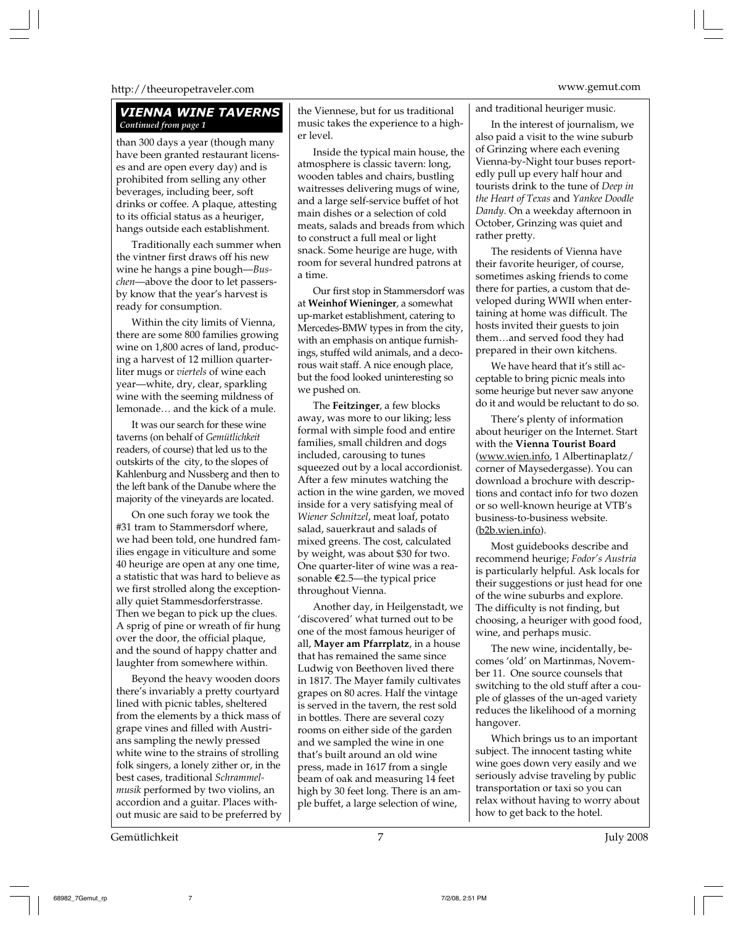#### http://theeuropetraveler.com www.gemut.com

#### *VIENNA WINE TAVERNS Continued from page 1*

than 300 days a year (though many have been granted restaurant licenses and are open every day) and is prohibited from selling any other beverages, including beer, soft drinks or coffee. A plaque, attesting to its official status as a heuriger, hangs outside each establishment.

Traditionally each summer when the vintner first draws off his new wine he hangs a pine bough—*Buschen*—above the door to let passersby know that the year's harvest is ready for consumption.

Within the city limits of Vienna, there are some 800 families growing wine on 1,800 acres of land, producing a harvest of 12 million quarterliter mugs or *viertels* of wine each year—white, dry, clear, sparkling wine with the seeming mildness of lemonade… and the kick of a mule.

It was our search for these wine taverns (on behalf of *Gemütlichkeit* readers, of course) that led us to the outskirts of the city, to the slopes of Kahlenburg and Nussberg and then to the left bank of the Danube where the majority of the vineyards are located.

On one such foray we took the #31 tram to Stammersdorf where, we had been told, one hundred families engage in viticulture and some 40 heurige are open at any one time, a statistic that was hard to believe as we first strolled along the exceptionally quiet Stammesdorferstrasse. Then we began to pick up the clues. A sprig of pine or wreath of fir hung over the door, the official plaque, and the sound of happy chatter and laughter from somewhere within.

Beyond the heavy wooden doors there's invariably a pretty courtyard lined with picnic tables, sheltered from the elements by a thick mass of grape vines and filled with Austrians sampling the newly pressed white wine to the strains of strolling folk singers, a lonely zither or, in the best cases, traditional *Schrammelmusik* performed by two violins, an accordion and a guitar. Places without music are said to be preferred by

the Viennese, but for us traditional music takes the experience to a higher level.

Inside the typical main house, the atmosphere is classic tavern: long, wooden tables and chairs, bustling waitresses delivering mugs of wine, and a large self-service buffet of hot main dishes or a selection of cold meats, salads and breads from which to construct a full meal or light snack. Some heurige are huge, with room for several hundred patrons at a time.

Our first stop in Stammersdorf was at **Weinhof Wieninger**, a somewhat up-market establishment, catering to Mercedes-BMW types in from the city, with an emphasis on antique furnishings, stuffed wild animals, and a decorous wait staff. A nice enough place, but the food looked uninteresting so we pushed on.

The **Feitzinger**, a few blocks away, was more to our liking; less formal with simple food and entire families, small children and dogs included, carousing to tunes squeezed out by a local accordionist. After a few minutes watching the action in the wine garden, we moved inside for a very satisfying meal of *Wiener Schnitzel*, meat loaf, potato salad, sauerkraut and salads of mixed greens. The cost, calculated by weight, was about \$30 for two. One quarter-liter of wine was a reasonable E2.5—the typical price throughout Vienna.

Another day, in Heilgenstadt, we 'discovered' what turned out to be one of the most famous heuriger of all, **Mayer am Pfarrplatz**, in a house that has remained the same since Ludwig von Beethoven lived there in 1817. The Mayer family cultivates grapes on 80 acres. Half the vintage is served in the tavern, the rest sold in bottles. There are several cozy rooms on either side of the garden and we sampled the wine in one that's built around an old wine press, made in 1617 from a single beam of oak and measuring 14 feet high by 30 feet long. There is an ample buffet, a large selection of wine,

and traditional heuriger music.

In the interest of journalism, we also paid a visit to the wine suburb of Grinzing where each evening Vienna-by-Night tour buses reportedly pull up every half hour and tourists drink to the tune of *Deep in the Heart of Texas* and *Yankee Doodle Dandy*. On a weekday afternoon in October, Grinzing was quiet and rather pretty.

The residents of Vienna have their favorite heuriger, of course, sometimes asking friends to come there for parties, a custom that developed during WWII when entertaining at home was difficult. The hosts invited their guests to join them…and served food they had prepared in their own kitchens.

We have heard that it's still acceptable to bring picnic meals into some heurige but never saw anyone do it and would be reluctant to do so.

There's plenty of information about heuriger on the Internet. Start with the **Vienna Tourist Board** (www.wien.info, 1 Albertinaplatz/ corner of Maysedergasse). You can download a brochure with descriptions and contact info for two dozen or so well-known heurige at VTB's business-to-business website. (b2b.wien.info).

Most guidebooks describe and recommend heurige; *Fodor's Austria* is particularly helpful. Ask locals for their suggestions or just head for one of the wine suburbs and explore. The difficulty is not finding, but choosing, a heuriger with good food, wine, and perhaps music.

The new wine, incidentally, becomes 'old' on Martinmas, November 11. One source counsels that switching to the old stuff after a couple of glasses of the un-aged variety reduces the likelihood of a morning hangover.

Which brings us to an important subject. The innocent tasting white wine goes down very easily and we seriously advise traveling by public transportation or taxi so you can relax without having to worry about how to get back to the hotel.

Gemütlichkeit Franz ist der Statten aus der Terminister aus der Terminister aus der Terminister aus der Terminister Union der Terminister aus der Terminister aus der Terminister aus der Terminister aus der Terminister aus